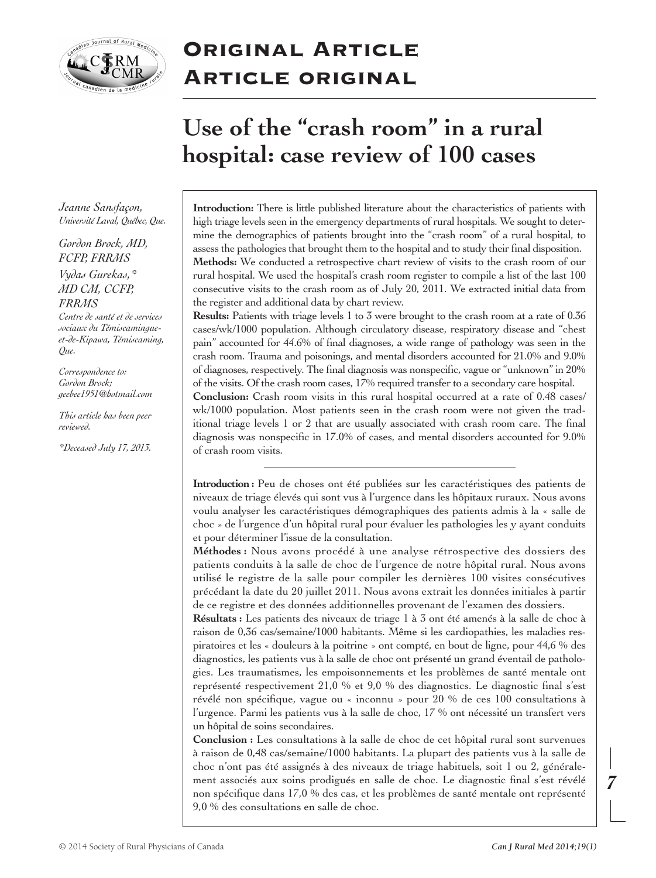

# **Original Article Article original**

# **Use of the " crash room " in a rural hospital: case review of 100 cases**

*Jeanne Sansfaçon, Université Laval, Québec, Que.*

## *Gordon Brock, MD, FCFP, FRRMS Vydas Gurekas,\* MD CM, CCFP, FRRMS*

*Centre de santé et de services sociaux du Témiscamingueet-de-Kipawa, Témiscaming, Que.*

*Correspondence to: Gordon Brock; geebee1951@hotmail.com*

*This article has been peer reviewed.*

*\*Deceased July 17, 2013.*

**Introduction:** There is little published literature about the characteristics of patients with high triage levels seen in the emergency departments of rural hospitals. We sought to determine the demographics of patients brought into the "crash room" of a rural hospital, to assess the pathologies that brought them to the hospital and to study their final disposition. **Methods:** We conducted a retrospective chart review of visits to the crash room of our rural hospital. We used the hospital's crash room register to compile a list of the last 100 consecutive visits to the crash room as of July 20, 2011. We extracted initial data from the register and additional data by chart review.

**Results:** Patients with triage levels 1 to 3 were brought to the crash room at a rate of 0.36 cases/wk/1000 population. Although circulatory disease, respiratory disease and "chest pain" accounted for 44.6% of final diagnoses, a wide range of pathology was seen in the crash room. Trauma and poisonings, and mental disorders accounted for 21.0% and 9.0% of diagnoses, respectively. The final diagnosis was nonspecific, vague or "unknown" in 20% of the visits. Of the crash room cases, 17% required transferto a secondary care hospital.

**Conclusion:** Crash room visits in this rural hospital occurred at a rate of 0.48 cases/ wk/1000 population. Most patients seen in the crash room were not given the traditional triage levels 1 or 2 that are usually associated with crash room care. The final diagnosis was nonspecific in 17.0% of cases, and mental disorders accounted for 9.0% of crash room visits.

**Introduction :** Peu de choses ont été publiées sur les caractéristiques des patients de niveaux de triage élevés qui sont vus à l'urgence dans les hôpitaux ruraux. Nous avons voulu analyser les caractéristiques démographiques des patients admis à la « salle de choc » de l'urgence d'un hôpital rural pour évaluer les pathologies les y ayant conduits et pour déterminer l'issue de la consultation.

**Méthodes :** Nous avons procédé à une analyse rétrospective des dossiers des patients conduits à la salle de choc de l'urgence de notre hôpital rural. Nous avons utilisé le registre de la salle pour compiler les dernières 100 visites consécutives précédant la date du 20 juillet 2011. Nous avons extrait les données initiales à partir de ce registre et des données additionnelles provenant de l'examen des dossiers.

**Résultats :** Les patients des niveaux de triage 1 à 3 ont été amenés à la salle de choc à raison de 0,36 cas/semaine/1000 habitants. Même si les cardiopathies, les maladies respiratoires et les « douleurs à la poitrine » ont compté, en bout de ligne, pour 44,6 % des diagnostics, les patients vus à la salle de choc ont présenté un grand éventail de pathologies. Les traumatismes, les empoisonnements et les problèmes de santé mentale ont représenté respectivement 21,0 % et 9,0 % des diagnostics. Le diagnostic final s'est révélé non spécifique, vague ou « inconnu » pour 20 % de ces 100 consultations à l'urgence. Parmi les patients vus à la salle de choc, 17 % ont nécessité un transfert vers un hôpital de soins secondaires.

**Conclusion :** Les consultations à la salle de choc de cet hôpital rural sont survenues à raison de 0,48 cas/semaine/1000 habitants. La plupart des patients vus à la salle de choc n'ont pas été assignés à des niveaux de triage habituels, soit 1 ou 2, généralement associés aux soins prodigués en salle de choc. Le diagnostic final s'est révélé non spécifique dans 17,0 % des cas, et les problèmes de santé mentale ont représenté 9,0 % des consultations en salle de choc.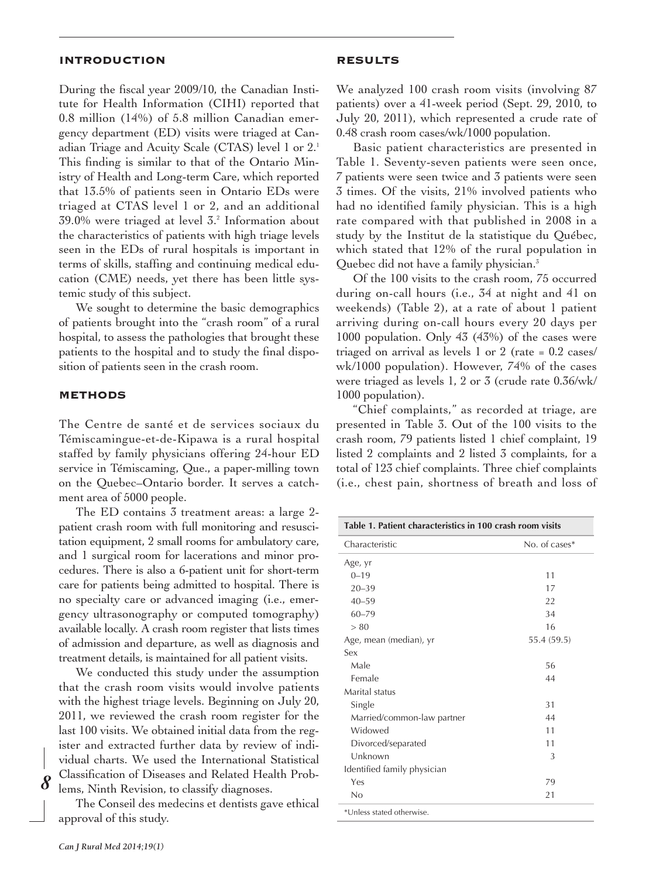#### **INTRODUCTION**

During the fiscal year 2009/10, the Canadian Institute for Health Information (CIHI) reported that 0.8 million (14%) of 5.8 million Canadian emergency department (ED) visits were triaged at Canadian Triage and Acuity Scale (CTAS) level 1 or 2. 1 This finding is similar to that of the Ontario Ministry of Health and Long-term Care, which reported that 13.5% of patients seen in Ontario EDs were triaged at CTAS level 1 or 2, and an additional 39.0% were triaged at level 3. <sup>2</sup> Information about the characteristics of patients with high triage levels seen in the EDs of rural hospitals is important in terms of skills, staffing and continuing medical education (CME) needs, yet there has been little systemic study of this subject.

We sought to determine the basic demographics of patients brought into the "crash room" of a rural hospital, to assess the pathologies that brought these patients to the hospital and to study the final disposition of patients seen in the crash room.

### **METHODS**

The Centre de santé et de services sociaux du Témiscamingue-et-de-Kipawa is a rural hospital staffed by family physicians offering 24-hour ED service in Témiscaming, Que., a paper-milling town on the Quebec–Ontario border. It serves a catchment area of 5000 people.

The ED contains 3 treatment areas: a large 2 patient crash room with full monitoring and resuscitation equipment, 2 small rooms for ambulatory care, and 1 surgical room for lacerations and minor procedures. There is also a 6-patient unit for short-term care for patients being admitted to hospital. There is no specialty care or advanced imaging (i.e., emergency ultrasonography or computed tomography) available locally. A crash room register that lists times of admission and departure, as well as diagnosis and treatment details, is maintained for all patient visits.

We conducted this study under the assumption that the crash room visits would involve patients with the highest triage levels. Beginning on July 20, 2011, we reviewed the crash room register for the last 100 visits. We obtained initial data from the register and extracted further data by review of individual charts. We used the International Statistical Classification of Diseases and Related Health Problems, Ninth Revision, to classify diagnoses.

The Conseil des medecins et dentists gave ethical approval of this study.

We analyzed 100 crash room visits (involving 87 patients) over a 41-week period (Sept. 29, 2010, to July 20, 2011), which represented a crude rate of 0.48 crash room cases/wk/1000 population.

Basic patient characteristics are presented in Table 1. Seventy-seven patients were seen once, 7 patients were seen twice and 3 patients were seen 3 times. Of the visits, 21% involved patients who had no identified family physician. This is a high rate compared with that published in 2008 in a study by the Institut de la statistique du Québec, which stated that 12% of the rural population in Quebec did not have a family physician. 3

Of the 100 visits to the crash room, 75 occurred during on-call hours (i.e., 34 at night and 41 on weekends) (Table 2), at a rate of about 1 patient arriving during on-call hours every 20 days per 1000 population. Only 43 (43%) of the cases were triaged on arrival as levels 1 or 2 (rate = 0.2 cases/ wk/1000 population). However, 74% of the cases were triaged as levels 1, 2 or 3 (crude rate 0.36/wk/ 1000 population).

"Chief complaints," as recorded at triage, are presented in Table 3. Out of the 100 visits to the crash room, 79 patients listed 1 chief complaint, 19 listed 2 complaints and 2 listed 3 complaints, for a total of 123 chief complaints. Three chief complaints (i.e., chest pain, shortness of breath and loss of

| Table 1. Patient characteristics in 100 crash room visits |               |  |
|-----------------------------------------------------------|---------------|--|
| Characteristic                                            | No. of cases* |  |
| Age, yr                                                   |               |  |
| $0 - 19$                                                  | 11            |  |
| $20 - 39$                                                 | 17            |  |
| $40 - 59$                                                 | 22            |  |
| $60 - 79$                                                 | 34            |  |
| > 80                                                      | 16            |  |
| Age, mean (median), yr                                    | 55.4 (59.5)   |  |
| Sex                                                       |               |  |
| Male                                                      | 56            |  |
| Female                                                    | 44            |  |
| Marital status                                            |               |  |
| Single                                                    | 31            |  |
| Married/common-law partner                                | 44            |  |
| Widowed                                                   | 11            |  |
| Divorced/separated                                        | 11            |  |
| Unknown                                                   | 3             |  |
| Identified family physician                               |               |  |
| Yes                                                       | 79            |  |
| No                                                        | 21            |  |
| *Unless stated otherwise.                                 |               |  |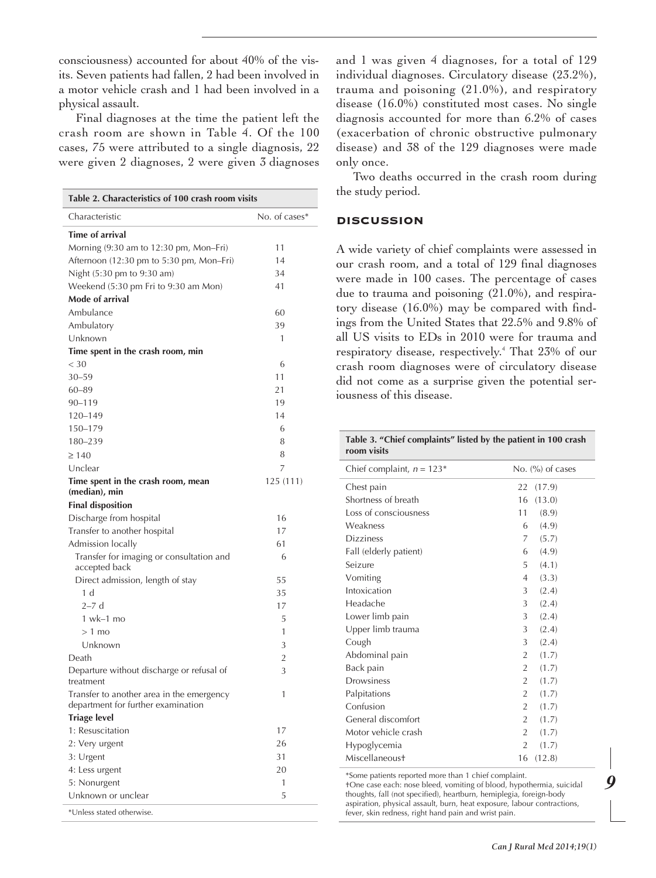consciousness) accounted for about 40% of the visits. Seven patients had fallen, 2 had been involved in a motor vehicle crash and 1 had been involved in a physical assault.

Final diagnoses at the time the patient left the crash room are shown in Table 4. Of the 100 cases, 75 were attributed to a single diagnosis, 22 were given 2 diagnoses, 2 were given 3 diagnoses

| Table 2. Characteristics of 100 crash room visits                               |               |  |  |  |
|---------------------------------------------------------------------------------|---------------|--|--|--|
| Characteristic                                                                  | No. of cases* |  |  |  |
| <b>Time of arrival</b>                                                          |               |  |  |  |
| Morning (9:30 am to 12:30 pm, Mon-Fri)                                          | 11            |  |  |  |
| Afternoon (12:30 pm to 5:30 pm, Mon-Fri)                                        | 14            |  |  |  |
| Night (5:30 pm to 9:30 am)                                                      | 34            |  |  |  |
| Weekend (5:30 pm Fri to 9:30 am Mon)                                            | 41            |  |  |  |
| Mode of arrival                                                                 |               |  |  |  |
| Ambulance                                                                       | 60            |  |  |  |
| Ambulatory                                                                      | 39            |  |  |  |
| Unknown                                                                         | 1             |  |  |  |
| Time spent in the crash room, min                                               |               |  |  |  |
| $<$ 30                                                                          | 6             |  |  |  |
| $30 - 59$                                                                       | 11            |  |  |  |
| $60 - 89$                                                                       | 21            |  |  |  |
| 90-119                                                                          | 19            |  |  |  |
| 120-149                                                                         | 14            |  |  |  |
| 150-179                                                                         | 6             |  |  |  |
| 180-239                                                                         | 8             |  |  |  |
| $\geq 140$                                                                      | 8             |  |  |  |
| Unclear                                                                         | 7             |  |  |  |
| Time spent in the crash room, mean                                              | 125 (111)     |  |  |  |
| (median), min                                                                   |               |  |  |  |
| <b>Final disposition</b>                                                        |               |  |  |  |
| Discharge from hospital                                                         | 16            |  |  |  |
| Transfer to another hospital                                                    | 17            |  |  |  |
| Admission locally                                                               | 61            |  |  |  |
| Transfer for imaging or consultation and                                        | 6             |  |  |  |
| accepted back                                                                   |               |  |  |  |
| Direct admission, length of stay                                                | 55            |  |  |  |
| 1 <sub>d</sub>                                                                  | 35            |  |  |  |
| $2-7d$                                                                          | 17            |  |  |  |
| $1$ wk $-1$ mo                                                                  | 5             |  |  |  |
| $>1$ mo                                                                         | 1             |  |  |  |
| Unknown                                                                         | 3             |  |  |  |
| Death                                                                           | 2             |  |  |  |
| Departure without discharge or refusal of<br>treatment                          | 3             |  |  |  |
| Transfer to another area in the emergency<br>department for further examination | 1             |  |  |  |
| <b>Triage level</b>                                                             |               |  |  |  |
| 1: Resuscitation                                                                | 17            |  |  |  |
| 2: Very urgent                                                                  | 26            |  |  |  |
| 3: Urgent                                                                       | 31            |  |  |  |
| 4: Less urgent                                                                  | 20            |  |  |  |
| 5: Nonurgent                                                                    | 1             |  |  |  |
| Unknown or unclear                                                              | 5             |  |  |  |
| *Unless stated otherwise.                                                       |               |  |  |  |

and 1 was given 4 diagnoses, for a total of 129 individual diagnoses. Circulatory disease (23.2%), trauma and poisoning (21.0%), and respiratory disease (16.0%) constituted most cases. No single diagnosis accounted for more than 6.2% of cases (exacerbation of chronic obstructive pulmonary disease) and 38 of the 129 diagnoses were made only once.

Two deaths occurred in the crash room during the study period.

### **DISCUSSION**

A wide variety of chief complaints were assessed in our crash room, and a total of 129 final diagnoses were made in 100 cases. The percentage of cases due to trauma and poisoning (21.0%), and respiratory disease (16.0%) may be compared with findings from the United States that 22.5% and 9.8% of all US visits to EDs in 2010 were for trauma and respiratory disease, respectively. <sup>4</sup> That 23% of our crash room diagnoses were of circulatory disease did not come as a surprise given the potential seriousness of this disease.

| Table 3. "Chief complaints" listed by the patient in 100 crash<br>room visits |                         |  |  |
|-------------------------------------------------------------------------------|-------------------------|--|--|
| Chief complaint, $n = 123*$                                                   | No. $(\%)$ of cases     |  |  |
| Chest pain                                                                    | 22<br>(17.9)            |  |  |
| Shortness of breath                                                           | 16<br>(13.0)            |  |  |
| Loss of consciousness                                                         | 11<br>(8.9)             |  |  |
| Weakness                                                                      | (4.9)<br>6              |  |  |
| <b>Dizziness</b>                                                              | 7<br>(5.7)              |  |  |
| Fall (elderly patient)                                                        | 6<br>(4.9)              |  |  |
| Seizure                                                                       | 5<br>(4.1)              |  |  |
| Vomiting                                                                      | (3.3)<br>4              |  |  |
| Intoxication                                                                  | 3<br>(2.4)              |  |  |
| Headache                                                                      | 3<br>(2.4)              |  |  |
| Lower limb pain                                                               | 3<br>(2.4)              |  |  |
| Upper limb trauma                                                             | (2.4)<br>3              |  |  |
| Cough                                                                         | 3<br>(2.4)              |  |  |
| Abdominal pain                                                                | $\overline{2}$<br>(1.7) |  |  |
| Back pain                                                                     | $\overline{2}$<br>(1.7) |  |  |
| Drowsiness                                                                    | $\overline{2}$<br>(1.7) |  |  |
| Palpitations                                                                  | $\overline{2}$<br>(1.7) |  |  |
| Confusion                                                                     | $\overline{2}$<br>(1.7) |  |  |
| General discomfort                                                            | 2<br>(1.7)              |  |  |
| Motor vehicle crash                                                           | $\overline{2}$<br>(1.7) |  |  |
| Hypoglycemia                                                                  | $\overline{2}$<br>(1.7) |  |  |
| Miscellaneoust                                                                | 16<br>(12.8)            |  |  |
| *Some patients reported more than 1 chief complaint.                          |                         |  |  |

†One case each: nose bleed, vomiting of blood, hypothermia, suicidal thoughts, fall (not specified), heartburn, hemiplegia, foreign-body aspiration, physical assault, burn, heat exposure, labour contractions, fever, skin redness, right hand pain and wrist pain.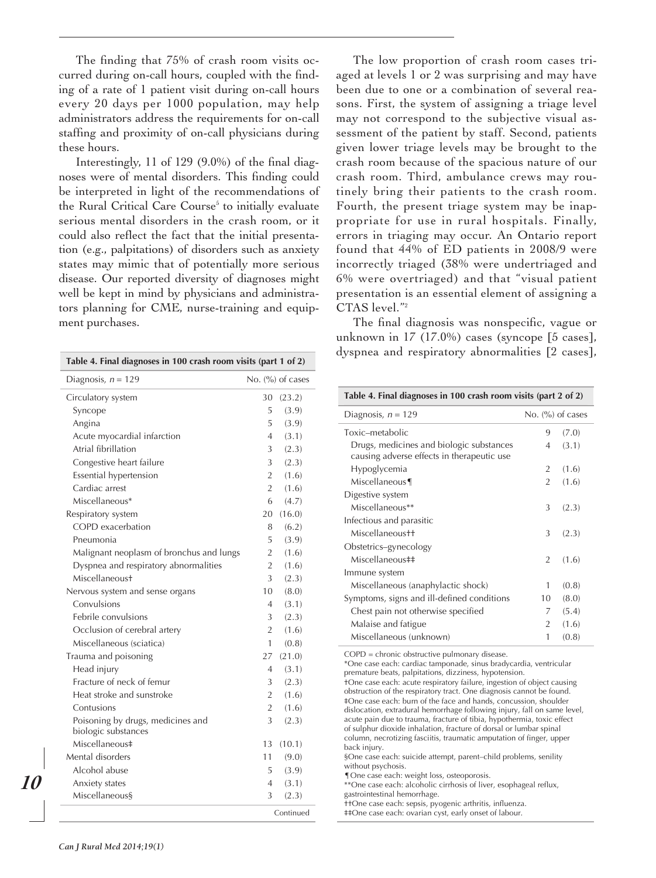The finding that 75% of crash room visits occurred during on-call hours, coupled with the finding of a rate of 1 patient visit during on-call hours every 20 days per 1000 population, may help administrators address the requirements for on-call staffing and proximity of on-call physicians during these hours.

Interestingly, 11 of 129 (9.0%) of the final diagnoses were of mental disorders. This finding could be interpreted in light of the recommendations of the Rural Critical Care Course<sup>5</sup> to initially evaluate serious mental disorders in the crash room, or it could also reflect the fact that the initial presentation (e.g., palpitations) of disorders such as anxiety states may mimic that of potentially more serious disease. Our reported diversity of diagnoses might well be kept in mind by physicians and administrators planning for CME, nurse-training and equipment purchases.

| Table 4. Final diagnoses in 100 crash room visits (part 1 of 2) |                |                                         |  |
|-----------------------------------------------------------------|----------------|-----------------------------------------|--|
| Diagnosis, $n = 129$                                            |                | No. $\left(\frac{9}{0}\right)$ of cases |  |
| Circulatory system                                              | 30             | (23.2)                                  |  |
| Syncope                                                         | 5              | (3.9)                                   |  |
| Angina                                                          | 5              | (3.9)                                   |  |
| Acute myocardial infarction                                     | 4              | (3.1)                                   |  |
| Atrial fibrillation                                             | 3              | (2.3)                                   |  |
| Congestive heart failure                                        | 3              | (2.3)                                   |  |
| Essential hypertension                                          | $\overline{2}$ | (1.6)                                   |  |
| Cardiac arrest                                                  | $\overline{2}$ | (1.6)                                   |  |
| Miscellaneous*                                                  | 6              | (4.7)                                   |  |
| Respiratory system                                              | 20             | (16.0)                                  |  |
| COPD exacerbation                                               | 8              | (6.2)                                   |  |
| Pneumonia                                                       | 5              | (3.9)                                   |  |
| Malignant neoplasm of bronchus and lungs                        | $\overline{2}$ | (1.6)                                   |  |
| Dyspnea and respiratory abnormalities                           | 2              | (1.6)                                   |  |
| Miscellaneoust                                                  | 3              | (2.3)                                   |  |
| Nervous system and sense organs                                 | 10             | (8.0)                                   |  |
| Convulsions                                                     | 4              | (3.1)                                   |  |
| Febrile convulsions                                             | 3              | (2.3)                                   |  |
| Occlusion of cerebral artery                                    | $\overline{2}$ | (1.6)                                   |  |
| Miscellaneous (sciatica)                                        | 1              | (0.8)                                   |  |
| Trauma and poisoning                                            | 27             | (21.0)                                  |  |
| Head injury                                                     | $\overline{4}$ | (3.1)                                   |  |
| Fracture of neck of femur                                       | 3              | (2.3)                                   |  |
| Heat stroke and sunstroke                                       | $\overline{2}$ | (1.6)                                   |  |
| Contusions                                                      | $\overline{2}$ | (1.6)                                   |  |
| Poisoning by drugs, medicines and<br>biologic substances        | 3              | (2.3)                                   |  |
| Miscellaneous‡                                                  | 13             | (10.1)                                  |  |
| Mental disorders                                                | 11             | (9.0)                                   |  |
| Alcohol abuse                                                   | 5              | (3.9)                                   |  |
| Anxiety states                                                  | 4              | (3.1)                                   |  |
| Miscellaneous§                                                  | 3              | (2.3)                                   |  |
|                                                                 |                | Continued                               |  |

The low proportion of crash room cases triaged at levels 1 or 2 was surprising and may have been due to one or a combination of several reasons. First, the system of assigning a triage level may not correspond to the subjective visual assessment of the patient by staff. Second, patients given lower triage levels may be brought to the crash room because of the spacious nature of our crash room. Third, ambulance crews may routinely bring their patients to the crash room. Fourth, the present triage system may be inappropriate for use in rural hospitals. Finally, errors in triaging may occur. An Ontario report found that 44% of ED patients in 2008/9 were incorrectly triaged (38% were undertriaged and 6% were overtriaged) and that "visual patient presentation is an essential element of assigning a CTAS level."2

The final diagnosis was nonspecific, vague or unknown in 17 (17.0%) cases (syncope [5 cases], dyspnea and respiratory abnormalities [2 cases],

| Table 4. Final diagnoses in 100 crash room visits (part 2 of 2)                                                                                                                                                                                                                                                                                                                                                                                                                                                                                                                                                                                                                                                                                                                                                                                                                                                                                                                                                                 |                    |       |  |
|---------------------------------------------------------------------------------------------------------------------------------------------------------------------------------------------------------------------------------------------------------------------------------------------------------------------------------------------------------------------------------------------------------------------------------------------------------------------------------------------------------------------------------------------------------------------------------------------------------------------------------------------------------------------------------------------------------------------------------------------------------------------------------------------------------------------------------------------------------------------------------------------------------------------------------------------------------------------------------------------------------------------------------|--------------------|-------|--|
| Diagnosis, $n = 129$                                                                                                                                                                                                                                                                                                                                                                                                                                                                                                                                                                                                                                                                                                                                                                                                                                                                                                                                                                                                            | No. $(%)$ of cases |       |  |
| Toxic-metabolic                                                                                                                                                                                                                                                                                                                                                                                                                                                                                                                                                                                                                                                                                                                                                                                                                                                                                                                                                                                                                 | 9                  | (7.0) |  |
| Drugs, medicines and biologic substances<br>causing adverse effects in therapeutic use                                                                                                                                                                                                                                                                                                                                                                                                                                                                                                                                                                                                                                                                                                                                                                                                                                                                                                                                          | $\overline{4}$     | (3.1) |  |
| Hypoglycemia                                                                                                                                                                                                                                                                                                                                                                                                                                                                                                                                                                                                                                                                                                                                                                                                                                                                                                                                                                                                                    | $\overline{2}$     | (1.6) |  |
| Miscellaneous¶                                                                                                                                                                                                                                                                                                                                                                                                                                                                                                                                                                                                                                                                                                                                                                                                                                                                                                                                                                                                                  | $\overline{2}$     | (1.6) |  |
| Digestive system                                                                                                                                                                                                                                                                                                                                                                                                                                                                                                                                                                                                                                                                                                                                                                                                                                                                                                                                                                                                                |                    |       |  |
| Miscellaneous**                                                                                                                                                                                                                                                                                                                                                                                                                                                                                                                                                                                                                                                                                                                                                                                                                                                                                                                                                                                                                 | 3                  | (2.3) |  |
| Infectious and parasitic                                                                                                                                                                                                                                                                                                                                                                                                                                                                                                                                                                                                                                                                                                                                                                                                                                                                                                                                                                                                        |                    |       |  |
| Miscellaneous++                                                                                                                                                                                                                                                                                                                                                                                                                                                                                                                                                                                                                                                                                                                                                                                                                                                                                                                                                                                                                 | 3                  | (2.3) |  |
| Obstetrics-gynecology                                                                                                                                                                                                                                                                                                                                                                                                                                                                                                                                                                                                                                                                                                                                                                                                                                                                                                                                                                                                           |                    |       |  |
| Miscellaneous##                                                                                                                                                                                                                                                                                                                                                                                                                                                                                                                                                                                                                                                                                                                                                                                                                                                                                                                                                                                                                 | $\overline{2}$     | (1.6) |  |
| Immune system                                                                                                                                                                                                                                                                                                                                                                                                                                                                                                                                                                                                                                                                                                                                                                                                                                                                                                                                                                                                                   |                    |       |  |
| Miscellaneous (anaphylactic shock)                                                                                                                                                                                                                                                                                                                                                                                                                                                                                                                                                                                                                                                                                                                                                                                                                                                                                                                                                                                              | 1                  | (0.8) |  |
| Symptoms, signs and ill-defined conditions                                                                                                                                                                                                                                                                                                                                                                                                                                                                                                                                                                                                                                                                                                                                                                                                                                                                                                                                                                                      | 10                 | (8.0) |  |
| Chest pain not otherwise specified                                                                                                                                                                                                                                                                                                                                                                                                                                                                                                                                                                                                                                                                                                                                                                                                                                                                                                                                                                                              | 7                  | (5.4) |  |
| Malaise and fatigue                                                                                                                                                                                                                                                                                                                                                                                                                                                                                                                                                                                                                                                                                                                                                                                                                                                                                                                                                                                                             | $\overline{2}$     | (1.6) |  |
| Miscellaneous (unknown)                                                                                                                                                                                                                                                                                                                                                                                                                                                                                                                                                                                                                                                                                                                                                                                                                                                                                                                                                                                                         | 1                  | (0.8) |  |
| COPD = chronic obstructive pulmonary disease.<br>*One case each: cardiac tamponade, sinus bradycardia, ventricular<br>premature beats, palpitations, dizziness, hypotension.<br>+One case each: acute respiratory failure, ingestion of object causing<br>obstruction of the respiratory tract. One diagnosis cannot be found.<br>#One case each: burn of the face and hands, concussion, shoulder<br>dislocation, extradural hemorrhage following injury, fall on same level,<br>acute pain due to trauma, fracture of tibia, hypothermia, toxic effect<br>of sulphur dioxide inhalation, fracture of dorsal or lumbar spinal<br>column, necrotizing fasciitis, traumatic amputation of finger, upper<br>back injury.<br>§One case each: suicide attempt, parent-child problems, senility<br>without psychosis.<br>¶ One case each: weight loss, osteoporosis.<br>**One case each: alcoholic cirrhosis of liver, esophageal reflux,<br>gastrointestinal hemorrhage.<br>++One case each: sepsis, pyogenic arthritis, influenza. |                    |       |  |
| #One case each: ovarian cyst. early onset of labour.                                                                                                                                                                                                                                                                                                                                                                                                                                                                                                                                                                                                                                                                                                                                                                                                                                                                                                                                                                            |                    |       |  |